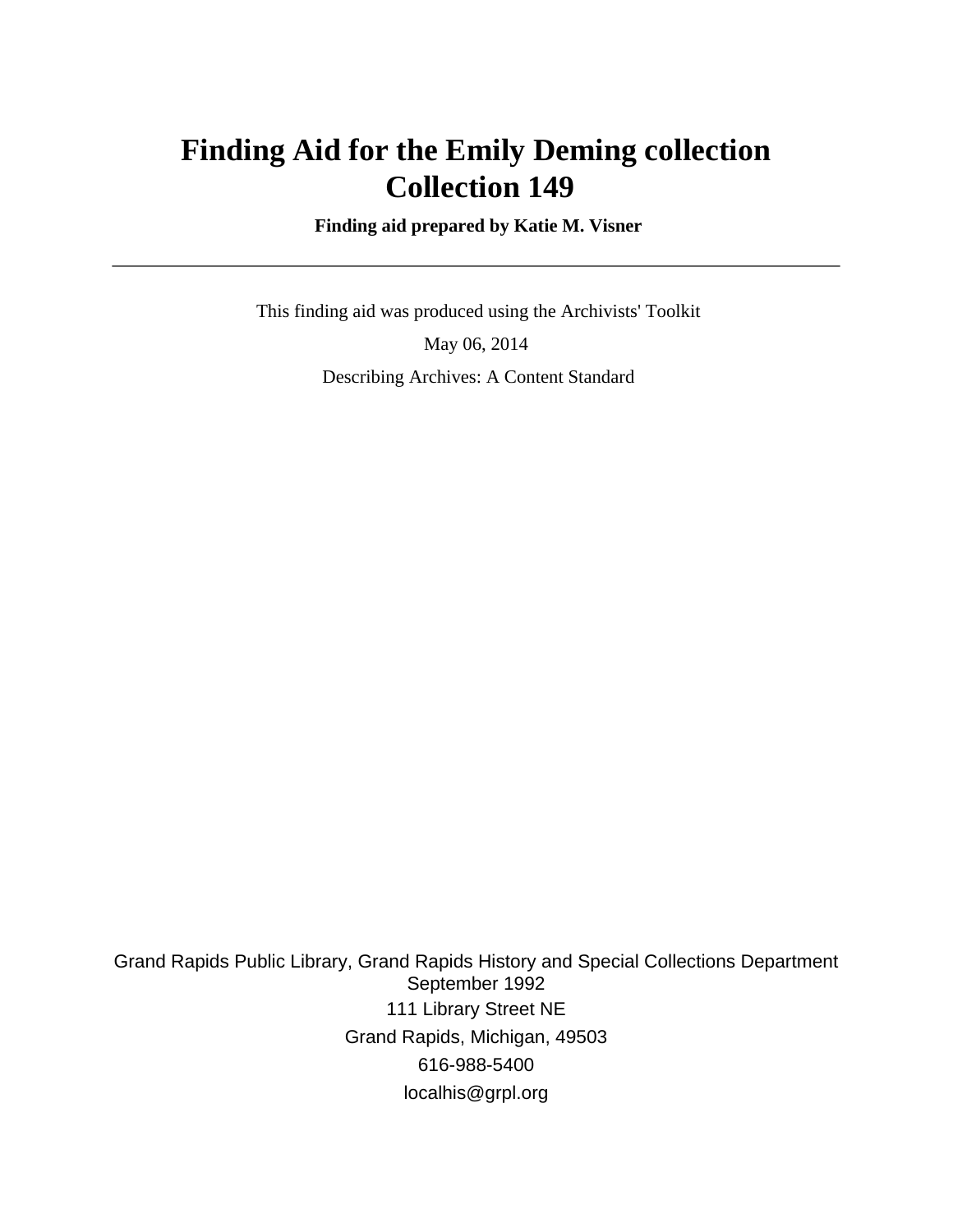# **Finding Aid for the Emily Deming collection Collection 149**

 **Finding aid prepared by Katie M. Visner**

 This finding aid was produced using the Archivists' Toolkit May 06, 2014 Describing Archives: A Content Standard

Grand Rapids Public Library, Grand Rapids History and Special Collections Department September 1992 111 Library Street NE Grand Rapids, Michigan, 49503 616-988-5400 localhis@grpl.org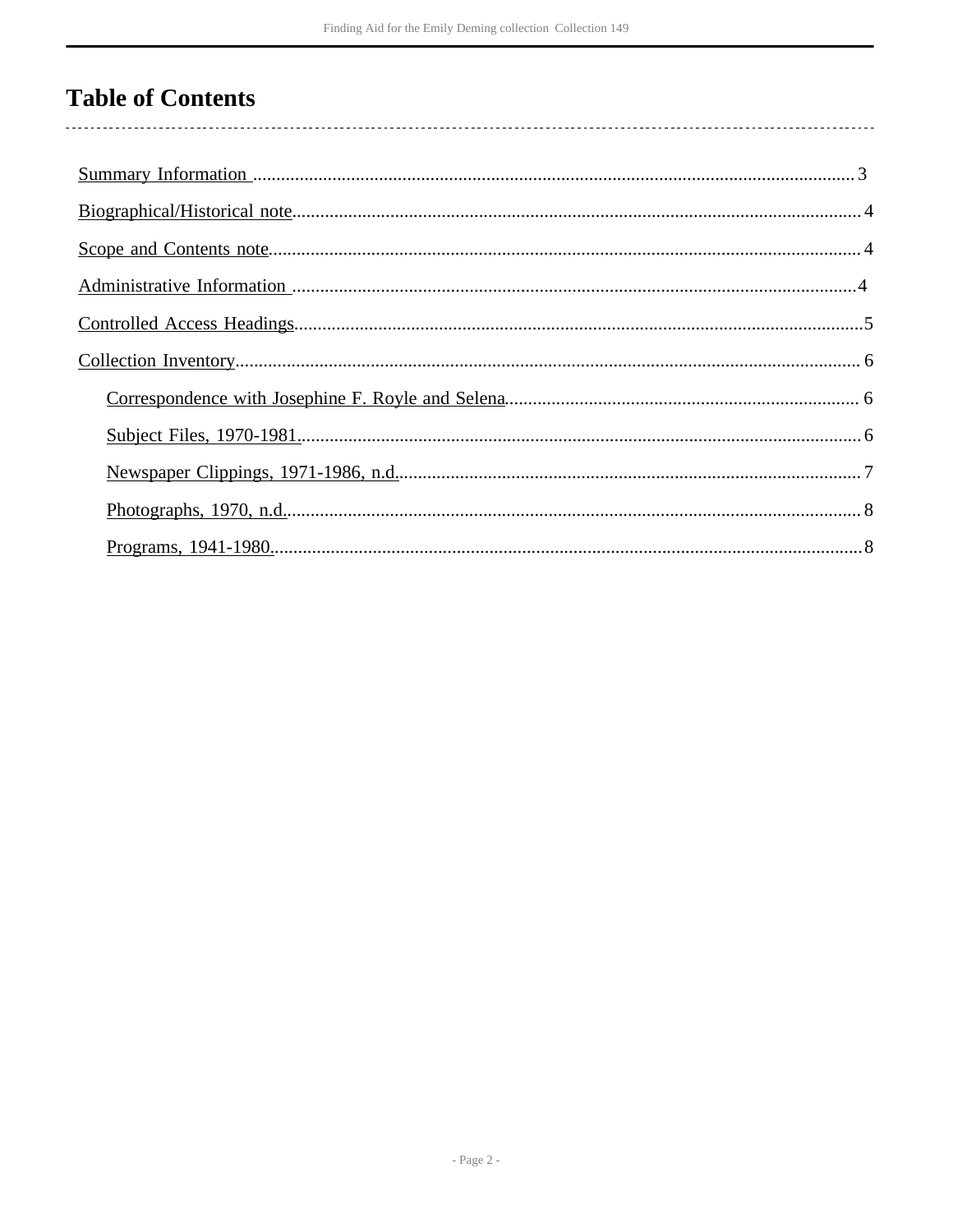# **Table of Contents**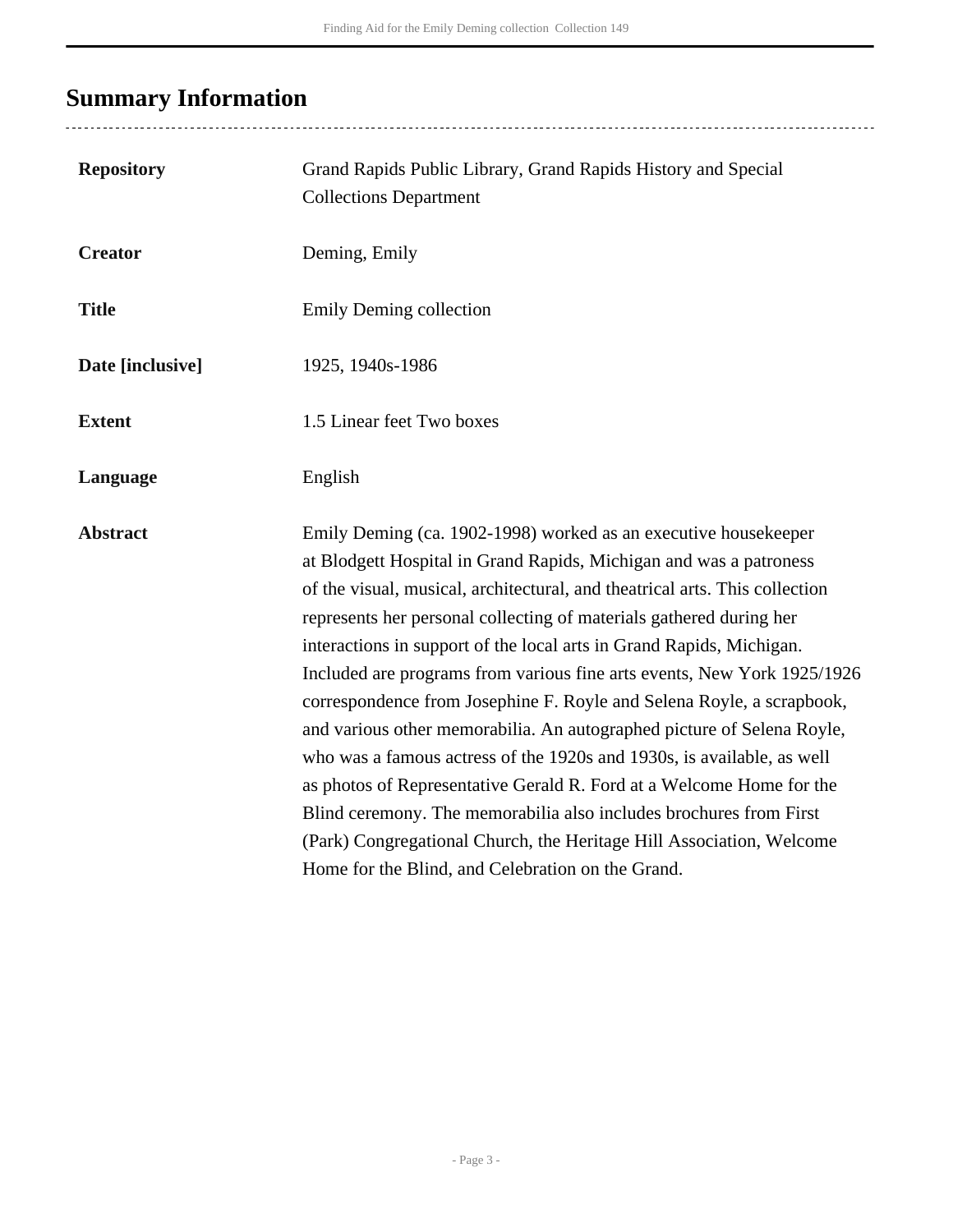# <span id="page-2-0"></span>**Summary Information**

| <b>Repository</b> | Grand Rapids Public Library, Grand Rapids History and Special<br><b>Collections Department</b>                                                                                                                                                                                                                                                                                                                                                                                                                                                                                                                                                                                                                                                                                                                                                                                                                                                         |
|-------------------|--------------------------------------------------------------------------------------------------------------------------------------------------------------------------------------------------------------------------------------------------------------------------------------------------------------------------------------------------------------------------------------------------------------------------------------------------------------------------------------------------------------------------------------------------------------------------------------------------------------------------------------------------------------------------------------------------------------------------------------------------------------------------------------------------------------------------------------------------------------------------------------------------------------------------------------------------------|
| <b>Creator</b>    | Deming, Emily                                                                                                                                                                                                                                                                                                                                                                                                                                                                                                                                                                                                                                                                                                                                                                                                                                                                                                                                          |
| <b>Title</b>      | Emily Deming collection                                                                                                                                                                                                                                                                                                                                                                                                                                                                                                                                                                                                                                                                                                                                                                                                                                                                                                                                |
| Date [inclusive]  | 1925, 1940s-1986                                                                                                                                                                                                                                                                                                                                                                                                                                                                                                                                                                                                                                                                                                                                                                                                                                                                                                                                       |
| <b>Extent</b>     | 1.5 Linear feet Two boxes                                                                                                                                                                                                                                                                                                                                                                                                                                                                                                                                                                                                                                                                                                                                                                                                                                                                                                                              |
| Language          | English                                                                                                                                                                                                                                                                                                                                                                                                                                                                                                                                                                                                                                                                                                                                                                                                                                                                                                                                                |
| <b>Abstract</b>   | Emily Deming (ca. 1902-1998) worked as an executive housekeeper<br>at Blodgett Hospital in Grand Rapids, Michigan and was a patroness<br>of the visual, musical, architectural, and theatrical arts. This collection<br>represents her personal collecting of materials gathered during her<br>interactions in support of the local arts in Grand Rapids, Michigan.<br>Included are programs from various fine arts events, New York 1925/1926<br>correspondence from Josephine F. Royle and Selena Royle, a scrapbook,<br>and various other memorabilia. An autographed picture of Selena Royle,<br>who was a famous actress of the 1920s and 1930s, is available, as well<br>as photos of Representative Gerald R. Ford at a Welcome Home for the<br>Blind ceremony. The memorabilia also includes brochures from First<br>(Park) Congregational Church, the Heritage Hill Association, Welcome<br>Home for the Blind, and Celebration on the Grand. |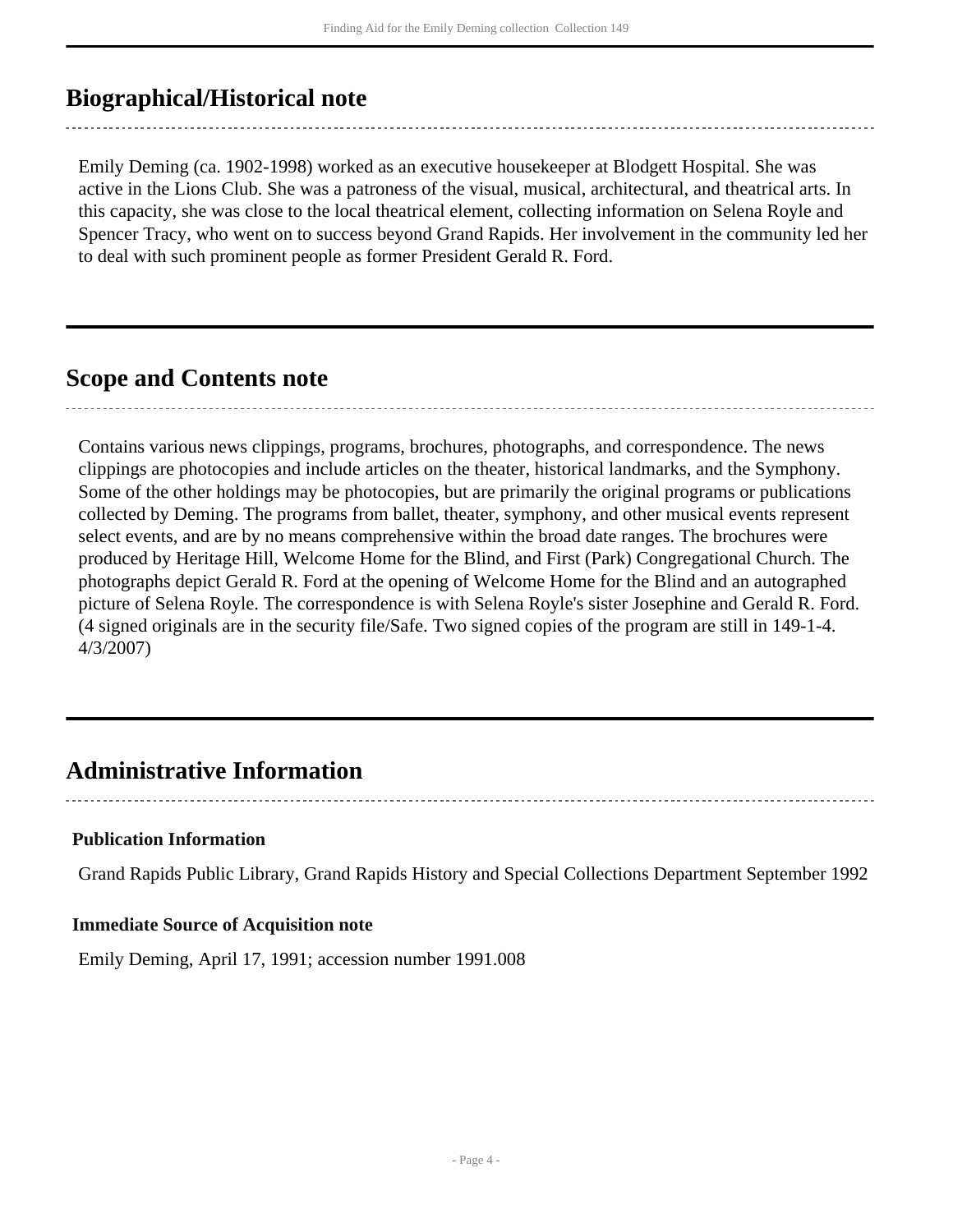## <span id="page-3-0"></span>**Biographical/Historical note**

Emily Deming (ca. 1902-1998) worked as an executive housekeeper at Blodgett Hospital. She was active in the Lions Club. She was a patroness of the visual, musical, architectural, and theatrical arts. In this capacity, she was close to the local theatrical element, collecting information on Selena Royle and Spencer Tracy, who went on to success beyond Grand Rapids. Her involvement in the community led her to deal with such prominent people as former President Gerald R. Ford.

### <span id="page-3-1"></span>**Scope and Contents note**

Contains various news clippings, programs, brochures, photographs, and correspondence. The news clippings are photocopies and include articles on the theater, historical landmarks, and the Symphony. Some of the other holdings may be photocopies, but are primarily the original programs or publications collected by Deming. The programs from ballet, theater, symphony, and other musical events represent select events, and are by no means comprehensive within the broad date ranges. The brochures were produced by Heritage Hill, Welcome Home for the Blind, and First (Park) Congregational Church. The photographs depict Gerald R. Ford at the opening of Welcome Home for the Blind and an autographed picture of Selena Royle. The correspondence is with Selena Royle's sister Josephine and Gerald R. Ford. (4 signed originals are in the security file/Safe. Two signed copies of the program are still in 149-1-4. 4/3/2007)

### <span id="page-3-2"></span>**Administrative Information**

### **Publication Information**

Grand Rapids Public Library, Grand Rapids History and Special Collections Department September 1992

#### **Immediate Source of Acquisition note**

Emily Deming, April 17, 1991; accession number 1991.008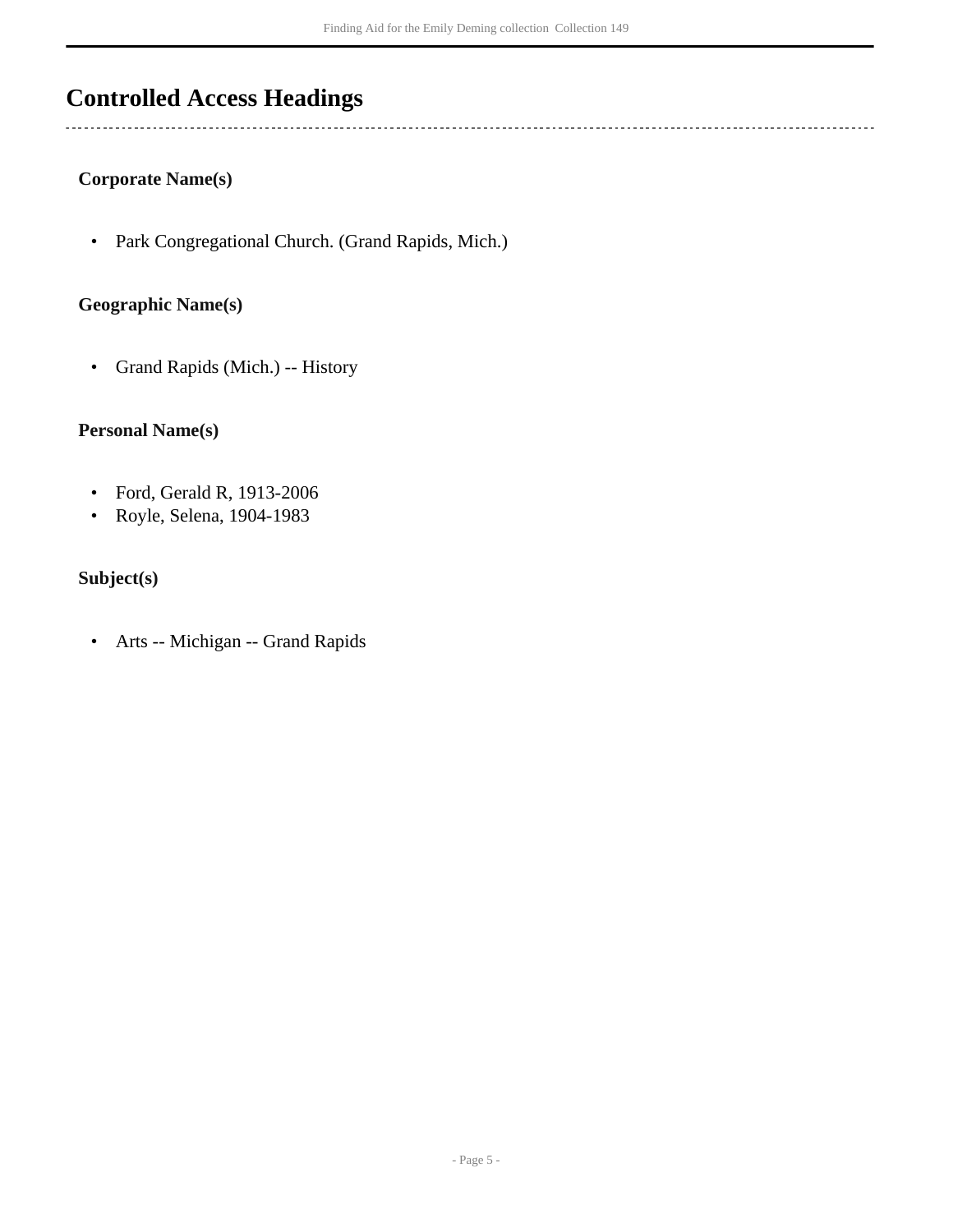## <span id="page-4-0"></span>**Controlled Access Headings**

#### **Corporate Name(s)**

• Park Congregational Church. (Grand Rapids, Mich.)

#### **Geographic Name(s)**

• Grand Rapids (Mich.) -- History

#### **Personal Name(s)**

- Ford, Gerald R, 1913-2006
- Royle, Selena, 1904-1983

### **Subject(s)**

• Arts -- Michigan -- Grand Rapids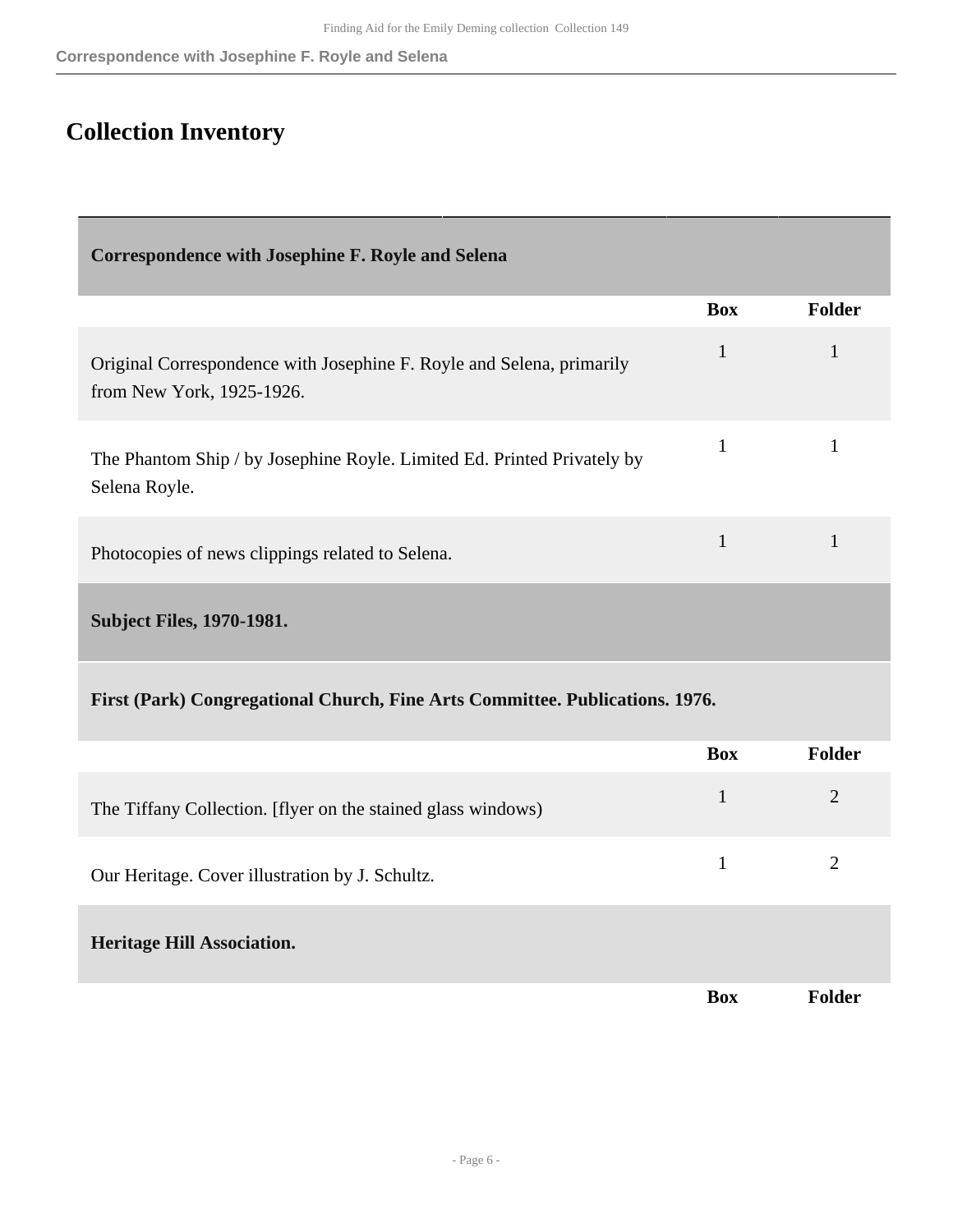## <span id="page-5-0"></span>**Collection Inventory**

<span id="page-5-2"></span><span id="page-5-1"></span>

| <b>Correspondence with Josephine F. Royle and Selena</b>                                           |              |                |  |
|----------------------------------------------------------------------------------------------------|--------------|----------------|--|
|                                                                                                    | <b>Box</b>   | Folder         |  |
| Original Correspondence with Josephine F. Royle and Selena, primarily<br>from New York, 1925-1926. | $\mathbf{1}$ | $\mathbf{1}$   |  |
| The Phantom Ship / by Josephine Royle. Limited Ed. Printed Privately by<br>Selena Royle.           | $\mathbf{1}$ | $\mathbf{1}$   |  |
| Photocopies of news clippings related to Selena.                                                   | $\mathbf{1}$ | $\mathbf{1}$   |  |
| <b>Subject Files, 1970-1981.</b>                                                                   |              |                |  |
| First (Park) Congregational Church, Fine Arts Committee. Publications. 1976.                       |              |                |  |
|                                                                                                    | <b>Box</b>   | Folder         |  |
| The Tiffany Collection. [flyer on the stained glass windows)                                       | $\mathbf{1}$ | $\overline{2}$ |  |
| Our Heritage. Cover illustration by J. Schultz.                                                    | $\mathbf{1}$ | $\overline{2}$ |  |
| <b>Heritage Hill Association.</b>                                                                  |              |                |  |
|                                                                                                    | <b>Box</b>   | Folder         |  |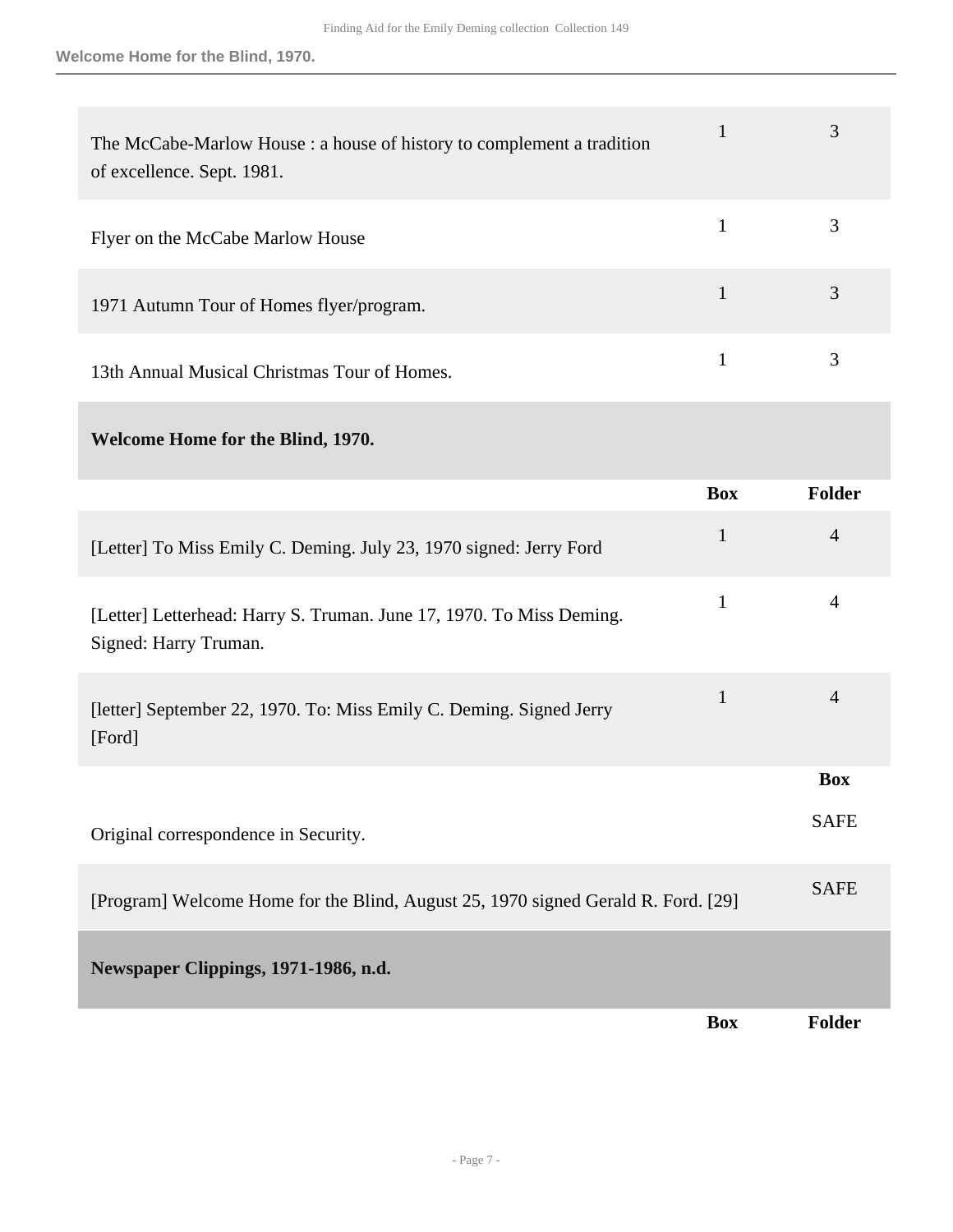| The McCabe-Marlow House : a house of history to complement a tradition<br>of excellence. Sept. 1981. | 3 |
|------------------------------------------------------------------------------------------------------|---|
| Flyer on the McCabe Marlow House                                                                     | 3 |
| 1971 Autumn Tour of Homes flyer/program.                                                             | 3 |
| 13th Annual Musical Christmas Tour of Homes.                                                         | 3 |

### **Welcome Home for the Blind, 1970.**

<span id="page-6-0"></span>

|                                                                                               | <b>Box</b>   | Folder         |
|-----------------------------------------------------------------------------------------------|--------------|----------------|
| [Letter] To Miss Emily C. Deming. July 23, 1970 signed: Jerry Ford                            | $\mathbf{1}$ | $\overline{4}$ |
| [Letter] Letterhead: Harry S. Truman. June 17, 1970. To Miss Deming.<br>Signed: Harry Truman. | $\mathbf{1}$ | 4              |
| [letter] September 22, 1970. To: Miss Emily C. Deming. Signed Jerry<br>[Ford]                 | $\mathbf{1}$ | $\overline{4}$ |
|                                                                                               |              | <b>Box</b>     |
| Original correspondence in Security.                                                          |              | <b>SAFE</b>    |
| [Program] Welcome Home for the Blind, August 25, 1970 signed Gerald R. Ford. [29]             |              | <b>SAFE</b>    |
| Newspaper Clippings, 1971-1986, n.d.                                                          |              |                |
|                                                                                               | <b>Box</b>   | <b>Folder</b>  |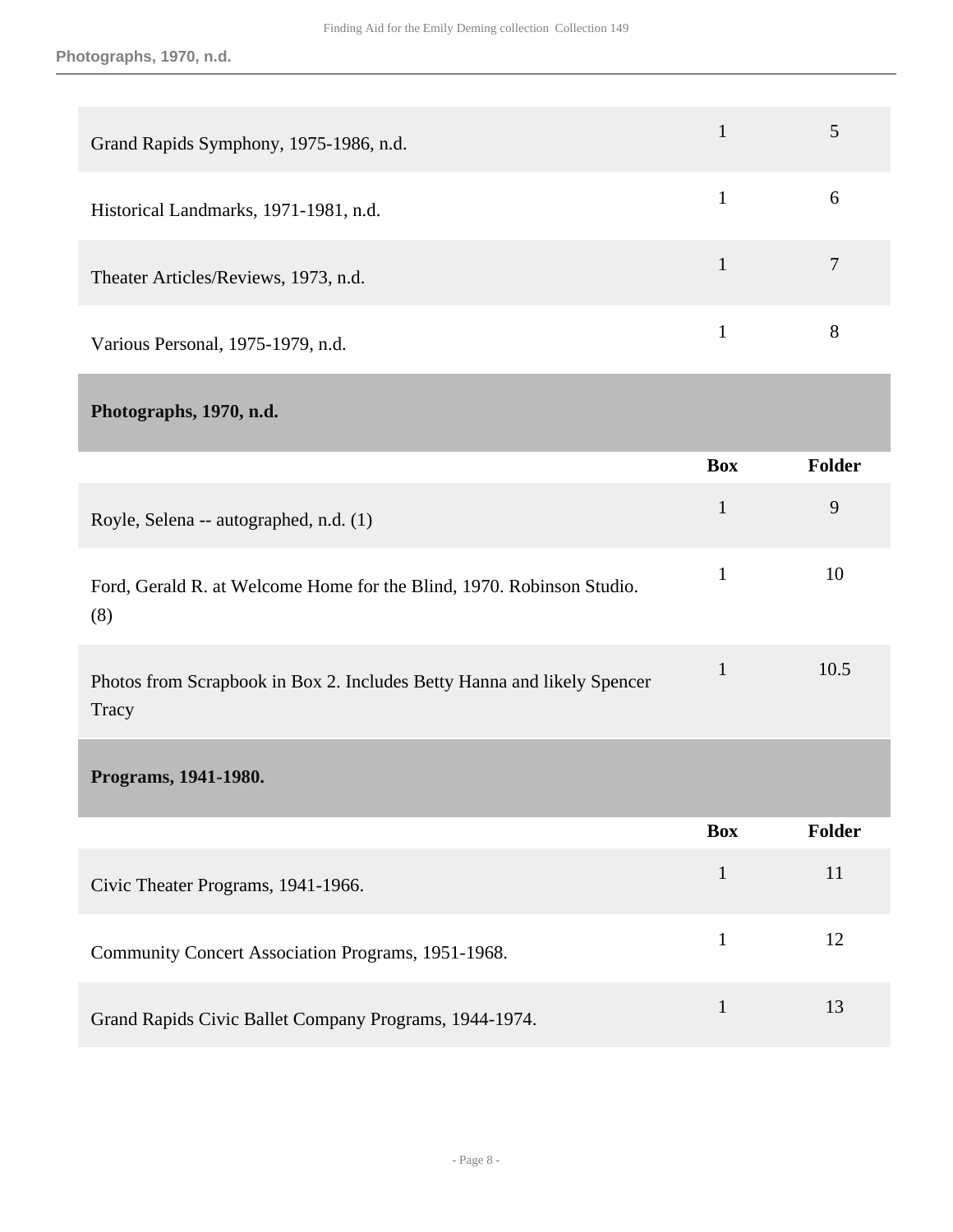<span id="page-7-1"></span><span id="page-7-0"></span>

| Grand Rapids Symphony, 1975-1986, n.d.                                           | $\mathbf{1}$ | 5              |
|----------------------------------------------------------------------------------|--------------|----------------|
| Historical Landmarks, 1971-1981, n.d.                                            | $\mathbf{1}$ | 6              |
| Theater Articles/Reviews, 1973, n.d.                                             | $\mathbf{1}$ | $\overline{7}$ |
| Various Personal, 1975-1979, n.d.                                                | $\mathbf{1}$ | 8              |
| Photographs, 1970, n.d.                                                          |              |                |
|                                                                                  | <b>Box</b>   | Folder         |
| Royle, Selena -- autographed, n.d. (1)                                           | $\mathbf{1}$ | 9              |
| Ford, Gerald R. at Welcome Home for the Blind, 1970. Robinson Studio.<br>(8)     | $\mathbf{1}$ | 10             |
| Photos from Scrapbook in Box 2. Includes Betty Hanna and likely Spencer<br>Tracy | $\mathbf{1}$ | 10.5           |
| Programs, 1941-1980.                                                             |              |                |
|                                                                                  | <b>Box</b>   | Folder         |
| Civic Theater Programs, 1941-1966.                                               | $\mathbf{1}$ | 11             |
| Community Concert Association Programs, 1951-1968.                               | $\mathbf{1}$ | 12             |
| Grand Rapids Civic Ballet Company Programs, 1944-1974.                           | $\mathbf{1}$ | 13             |